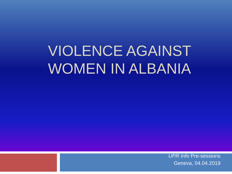# VIOLENCE AGAINST WOMEN IN ALBANIA

*UPR Info* Pre-sessions Geneva, 04.04.2019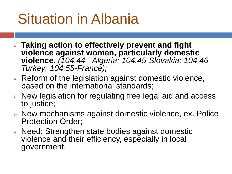## Situation in Albania

- ➢ **Taking action to effectively prevent and fight violence against women, particularly domestic violence.** *(104.44 –Algeria; 104.45-Slovakia; 104.46- Turkey; 104.55-France);*
- ➢ Reform of the legislation against domestic violence, based on the international standards;
- ➢ New legislation for regulating free legal aid and access to justice;
- ➢ New mechanisms against domestic violence, ex. Police Protection Order;
- ➢ Need: Strengthen state bodies against domestic violence and their efficiency, especially in local government.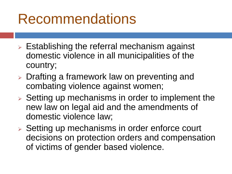### Recommendations

- $\triangleright$  Establishing the referral mechanism against domestic violence in all municipalities of the country;
- ➢ Drafting a framework law on preventing and combating violence against women;
- ➢ Setting up mechanisms in order to implement the new law on legal aid and the amendments of domestic violence law;
- ➢ Setting up mechanisms in order enforce court decisions on protection orders and compensation of victims of gender based violence.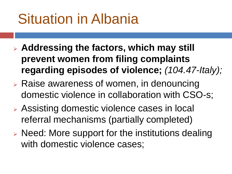## Situation in Albania

- ➢ **Addressing the factors, which may still prevent women from filing complaints regarding episodes of violence;** *(104.47-Italy);*
- ➢ Raise awareness of women, in denouncing domestic violence in collaboration with CSO-s;
- ➢ Assisting domestic violence cases in local referral mechanisms (partially completed)
- ➢ Need: More support for the institutions dealing with domestic violence cases;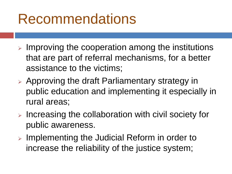#### Recommendations

- $\triangleright$  Improving the cooperation among the institutions that are part of referral mechanisms, for a better assistance to the victims;
- ➢ Approving the draft Parliamentary strategy in public education and implementing it especially in rural areas;
- ➢ Increasing the collaboration with civil society for public awareness.
- ➢ Implementing the Judicial Reform in order to increase the reliability of the justice system;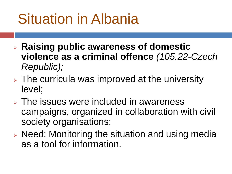## Situation in Albania

- ➢ **Raising public awareness of domestic violence as a criminal offence** *(105.22-Czech Republic);*
- $\triangleright$  The curricula was improved at the university level;
- ➢ The issues were included in awareness campaigns, organized in collaboration with civil society organisations;
- ➢ Need: Monitoring the situation and using media as a tool for information.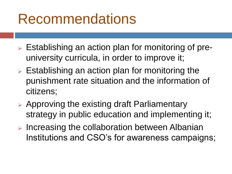### **Recommendations**

- ➢ Establishing an action plan for monitoring of preuniversity curricula, in order to improve it;
- $\triangleright$  Establishing an action plan for monitoring the punishment rate situation and the information of citizens;
- ➢ Approving the existing draft Parliamentary strategy in public education and implementing it;
- ➢ Increasing the collaboration between Albanian Institutions and CSO's for awareness campaigns;